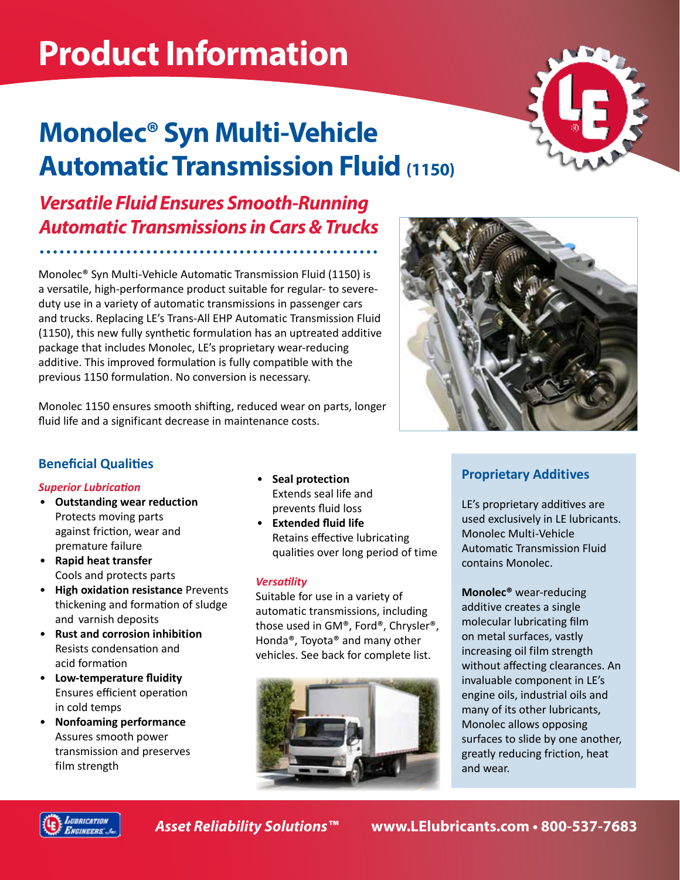# **Product Information**

## **Monolec® Syn Multi-Vehicle Automatic Transmission Fluid (1150)**



*Versatile Fluid Ensures Smooth-Running Automatic Transmissions in Cars & Trucks*

Monolec® Syn Multi-Vehicle Automatic Transmission Fluid (1150) is a versatile, high-performance product suitable for regular- to severeduty use in a variety of automatic transmissions in passenger cars and trucks. Replacing LE's Trans-All EHP Automatic Transmission Fluid (1150), this new fully synthetic formulation has an uptreated additive package that includes Monolec, LE's proprietary wear-reducing additive. This improved formulation is fully compatible with the previous 1150 formulation. No conversion is necessary.

Monolec 1150 ensures smooth shifting, reduced wear on parts, longer fluid life and a significant decrease in maintenance costs.



#### **Beneficial Qualities**

#### *Superior Lubrication*

- **Outstanding wear reduction**  Protects moving parts against friction, wear and premature failure
- **Rapid heat transfer** Cools and protects parts
- **High oxidation resistance** Prevents thickening and formation of sludge and varnish deposits
- **Rust and corrosion inhibition**  Resists condensation and acid formation
- **Low-temperature fluidity**  Ensures efficient operation in cold temps
- **Nonfoaming performance**  Assures smooth power transmission and preserves film strength
- **Seal protection**  Extends seal life and prevents fluid loss
- **Extended fluid life**  Retains effective lubricating qualities over long period of time

#### *Versatility*

Suitable for use in a variety of automatic transmissions, including those used in GM®, Ford®, Chrysler®, Honda®, Toyota® and many other vehicles. See back for complete list.



#### **Proprietary Additives**

LE's proprietary additives are used exclusively in LE lubricants. Monolec Multi-Vehicle Automatic Transmission Fluid contains Monolec.

**Monolec®** wear-reducing additive creates a single molecular lubricating film on metal surfaces, vastly increasing oil film strength without affecting clearances. An invaluable component in LE's engine oils, industrial oils and many of its other lubricants, Monolec allows opposing surfaces to slide by one another, greatly reducing friction, heat and wear.